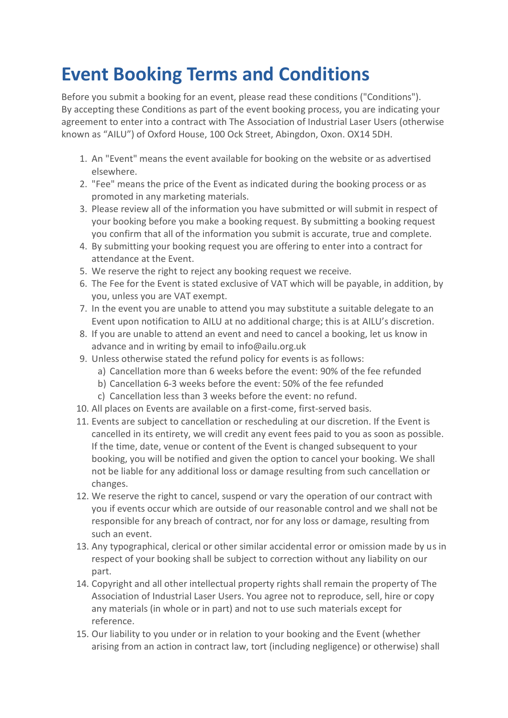## **Event Booking Terms and Conditions**

Before you submit a booking for an event, please read these conditions ("Conditions"). By accepting these Conditions as part of the event booking process, you are indicating your agreement to enter into a contract with The Association of Industrial Laser Users (otherwise known as "AILU") of Oxford House, 100 Ock Street, Abingdon, Oxon. OX14 5DH.

- 1. An "Event" means the event available for booking on the website or as advertised elsewhere.
- 2. "Fee" means the price of the Event as indicated during the booking process or as promoted in any marketing materials.
- 3. Please review all of the information you have submitted or will submit in respect of your booking before you make a booking request. By submitting a booking request you confirm that all of the information you submit is accurate, true and complete.
- 4. By submitting your booking request you are offering to enter into a contract for attendance at the Event.
- 5. We reserve the right to reject any booking request we receive.
- 6. The Fee for the Event is stated exclusive of VAT which will be payable, in addition, by you, unless you are VAT exempt.
- 7. In the event you are unable to attend you may substitute a suitable delegate to an Event upon notification to AILU at no additional charge; this is at AILU's discretion.
- 8. If you are unable to attend an event and need to cancel a booking, let us know in advance and in writing by email to info@ailu.org.uk
- 9. Unless otherwise stated the refund policy for events is as follows:
	- a) Cancellation more than 6 weeks before the event: 90% of the fee refunded
	- b) Cancellation 6-3 weeks before the event: 50% of the fee refunded
	- c) Cancellation less than 3 weeks before the event: no refund.
- 10. All places on Events are available on a first-come, first-served basis.
- 11. Events are subject to cancellation or rescheduling at our discretion. If the Event is cancelled in its entirety, we will credit any event fees paid to you as soon as possible. If the time, date, venue or content of the Event is changed subsequent to your booking, you will be notified and given the option to cancel your booking. We shall not be liable for any additional loss or damage resulting from such cancellation or changes.
- 12. We reserve the right to cancel, suspend or vary the operation of our contract with you if events occur which are outside of our reasonable control and we shall not be responsible for any breach of contract, nor for any loss or damage, resulting from such an event.
- 13. Any typographical, clerical or other similar accidental error or omission made by us in respect of your booking shall be subject to correction without any liability on our part.
- 14. Copyright and all other intellectual property rights shall remain the property of The Association of Industrial Laser Users. You agree not to reproduce, sell, hire or copy any materials (in whole or in part) and not to use such materials except for reference.
- 15. Our liability to you under or in relation to your booking and the Event (whether arising from an action in contract law, tort (including negligence) or otherwise) shall